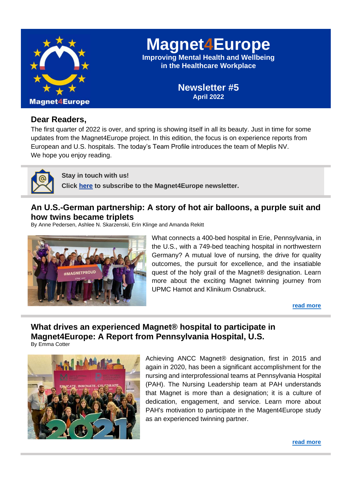

**Magnet4Europe**

**Improving Mental Health and Wellbeing in the Healthcare Workplace**

> **Newsletter #5 April 2022**

### **Dear Readers,**

The first quarter of 2022 is over, and spring is showing itself in all its beauty. Just in time for some updates from the Magnet4Europe project. In this edition, the focus is on experience reports from European and U.S. hospitals. The today's Team Profile introduces the team of Meplis NV. We hope you enjoy reading.



**Stay in touch with us!**

**Click [here](http://www.magnet4europe.eu/contact.html) to subscribe to the Magnet4Europe newsletter.**

### **An U.S.-German partnership: A story of hot air balloons, a purple suit and how twins became triplets**

By Anne Pedersen, Ashlee N. Skarzenski, Erin Klinge and Amanda Rekitt



What connects a 400-bed hospital in Erie, Pennsylvania, in the U.S., with a 749-bed teaching hospital in northwestern Germany? A mutual love of nursing, the drive for quality outcomes, the pursuit for excellence, and the insatiable quest of the holy grail of the Magnet® designation. Learn more about the exciting Magnet twinning journey from UPMC Hamot and Klinikum Osnabruck.

**[read more](https://www.magnet4europe.eu/blog-page/an-us-german-partnership-a-story-of-hot-air-balloons-a-purple-suit-and-how-twins-became-triplets)**

# **What drives an experienced Magnet® hospital to participate in Magnet4Europe: A Report from Pennsylvania Hospital, U.S.**

By Emma Cotter



Achieving ANCC Magnet® designation, first in 2015 and again in 2020, has been a significant accomplishment for the nursing and interprofessional teams at Pennsylvania Hospital (PAH). The Nursing Leadership team at PAH understands that Magnet is more than a designation; it is a culture of dedication, engagement, and service. Learn more about PAH's motivation to participate in the Magent4Europe study as an experienced twinning partner.

**[read more](https://www.magnet4europe.eu/blog-page/what-drives-an-experienced-magnetr-hospital-to-participate-in-magnet4europe-a-report-from-pennsylvania-hospital-us)**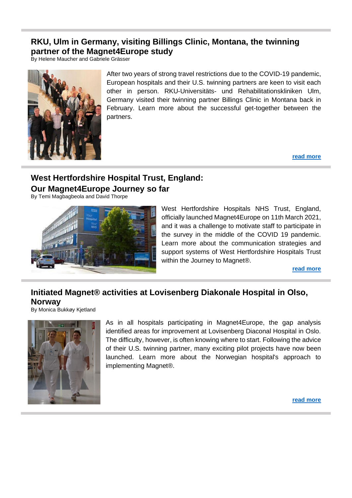## **RKU, Ulm in Germany, visiting Billings Clinic, Montana, the twinning partner of the Magnet4Europe study**

By Helene Maucher and Gabriele Grässer



After two years of strong travel restrictions due to the COVID-19 pandemic, European hospitals and their U.S. twinning partners are keen to visit each other in person. RKU-Universitäts- und Rehabilitationskliniken Ulm, Germany visited their twinning partner Billings Clinic in Montana back in February. Learn more about the successful get-together between the partners.

**[read more](https://www.magnet4europe.eu/blog-page/rku-universitats-und-rehabilitationskliniken-ulm-germany-visiting-billings-clinic-montana-the-twinning-partner-of-the-magnet4europe-study)**

# **West Hertfordshire Hospital Trust, England: Our Magnet4Europe Journey so far**

By Temi Magbagbeola and David Thorpe



West Hertfordshire Hospitals NHS Trust, England, officially launched Magnet4Europe on 11th March 2021, and it was a challenge to motivate staff to participate in the survey in the middle of the COVID 19 pandemic. Learn more about the communication strategies and support systems of West Hertfordshire Hospitals Trust within the Journey to Magnet®.

**[read more](https://www.magnet4europe.eu/blog-page/west-hertfordshire-hospital-trust-england-our-magnet4europe-journey-so-far)**

# **Initiated Magnet® activities at Lovisenberg Diakonale Hospital in Olso, Norway**

By Monica Bukkøy Kjetland



As in all hospitals participating in Magnet4Europe, the gap analysis identified areas for improvement at Lovisenberg Diaconal Hospital in Oslo. The difficulty, however, is often knowing where to start. Following the advice of their U.S. twinning partner, many exciting pilot projects have now been launched. Learn more about the Norwegian hospital's approach to implementing Magnet®.

**[read more](https://www.magnet4europe.eu/blog-page/initiated-magnetr-activities-at-lovisenberg-diakonale-hospital)**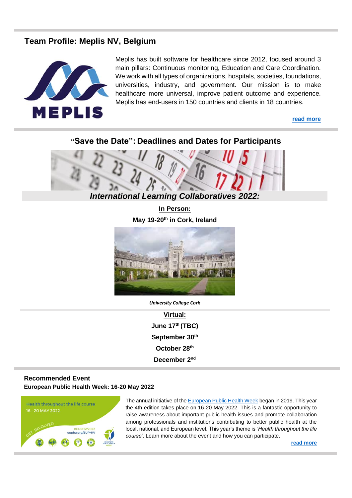### **Team Profile: Meplis NV, Belgium**



Meplis has built software for healthcare since 2012, focused around 3 main pillars: Continuous monitoring, Education and Care Coordination. We work with all types of organizations, hospitals, societies, foundations, universities, industry, and government. Our mission is to make healthcare more universal, improve patient outcome and experience. Meplis has end-users in 150 countries and clients in 18 countries.

#### **[read more](https://www.magnet4europe.eu/meplis.html)**



*International Learning Collaboratives 2022:*

**In Person: May 19-20th in Cork, Ireland**



*University College Cork*

**Virtual: June 17th (TBC) September 30th October 28th December 2nd**

#### **Recommended Event European Public Health Week: 16-20 May 2022**



The annual initiative of the [European Public Health Week](https://eupha.org/EUPHW) began in 2019. This year the 4th edition takes place on 16-20 May 2022. This is a fantastic opportunity to raise awareness about important public health issues and promote collaboration among professionals and institutions contributing to better public health at the local, national, and European level. This year's theme is *'Health throughout the life course'*. Learn more about the event and how you can participate.

**[read more](https://eupha.org/EUPHW)**